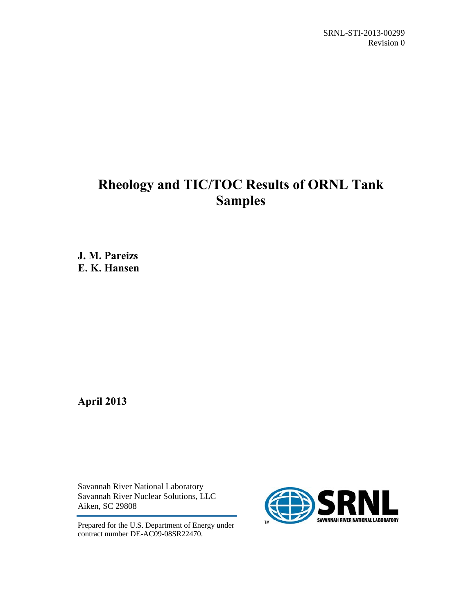SRNL-STI-2013-00299 Revision 0

# **Rheology and TIC/TOC Results of ORNL Tank Samples**

**J. M. Pareizs E. K. Hansen** 

**April 2013** 

Savannah River National Laboratory Savannah River Nuclear Solutions, LLC Aiken, SC 29808

Prepared for the U.S. Department of Energy under contract number DE-AC09-08SR22470.

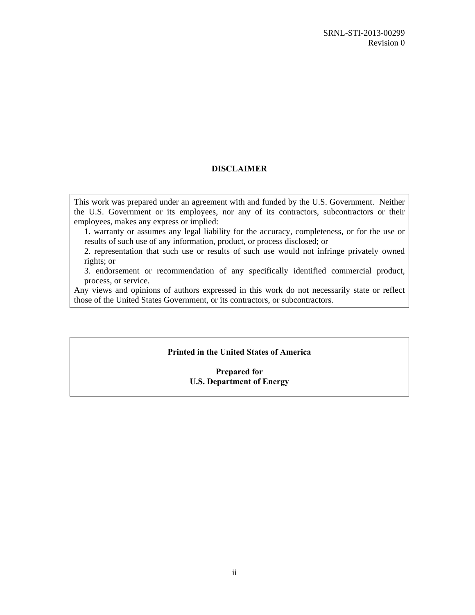### **DISCLAIMER**

This work was prepared under an agreement with and funded by the U.S. Government. Neither the U.S. Government or its employees, nor any of its contractors, subcontractors or their employees, makes any express or implied:

1. warranty or assumes any legal liability for the accuracy, completeness, or for the use or results of such use of any information, product, or process disclosed; or

2. representation that such use or results of such use would not infringe privately owned rights; or

3. endorsement or recommendation of any specifically identified commercial product, process, or service.

Any views and opinions of authors expressed in this work do not necessarily state or reflect those of the United States Government, or its contractors, or subcontractors.

#### **Printed in the United States of America**

#### **Prepared for U.S. Department of Energy**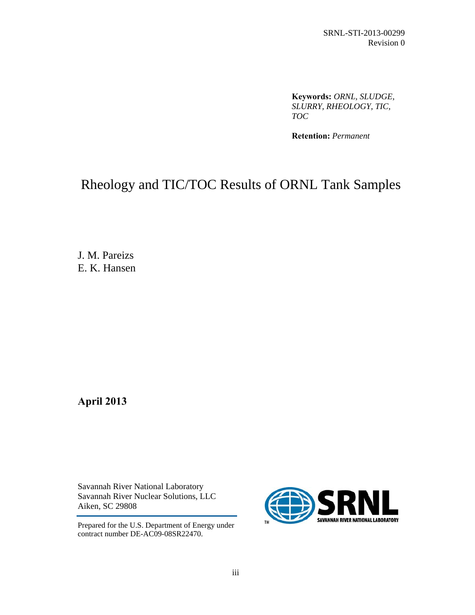**Keywords:** *ORNL, SLUDGE, SLURRY, RHEOLOGY, TIC, TOC*

**Retention:** *Permanent*

# Rheology and TIC/TOC Results of ORNL Tank Samples

J. M. Pareizs E. K. Hansen

**April 2013** 

Savannah River National Laboratory Savannah River Nuclear Solutions, LLC Aiken, SC 29808

Prepared for the U.S. Department of Energy under contract number DE-AC09-08SR22470.

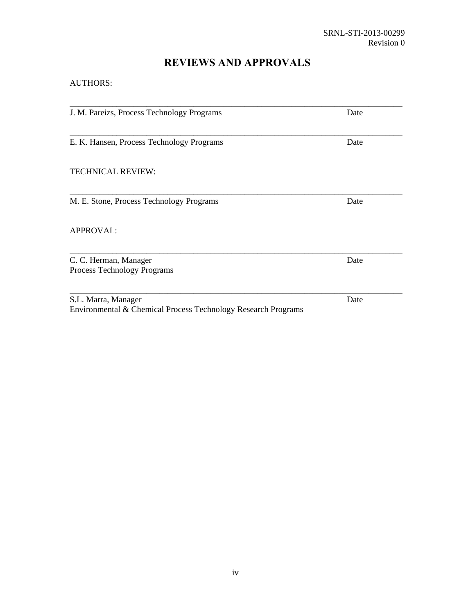# **REVIEWS AND APPROVALS**

AUTHORS:

| J. M. Pareizs, Process Technology Programs | Date |
|--------------------------------------------|------|
|                                            |      |
| E. K. Hansen, Process Technology Programs  | Date |
|                                            |      |
| <b>TECHNICAL REVIEW:</b>                   |      |
|                                            |      |
| M. E. Stone, Process Technology Programs   | Date |
|                                            |      |
| <b>APPROVAL:</b>                           |      |
|                                            |      |
| C. C. Herman, Manager                      | Date |
| Process Technology Programs                |      |
|                                            |      |
| S.L. Marra, Manager                        | Date |

Environmental & Chemical Process Technology Research Programs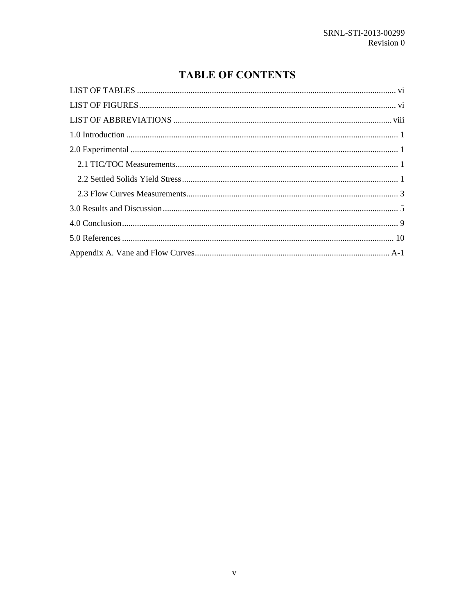# **TABLE OF CONTENTS**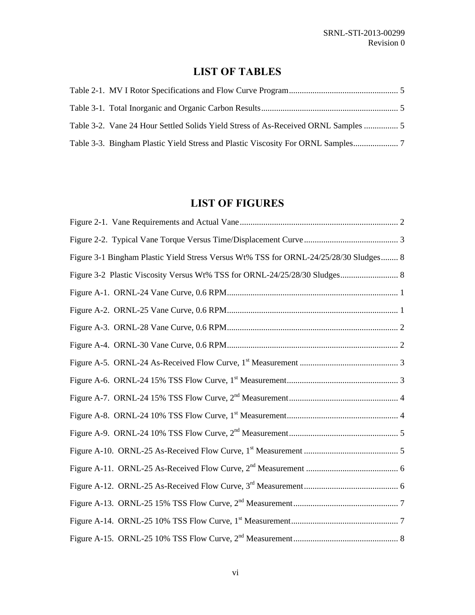# **LIST OF TABLES**

| Table 3-2. Vane 24 Hour Settled Solids Yield Stress of As-Received ORNL Samples |  |
|---------------------------------------------------------------------------------|--|
|                                                                                 |  |

# **LIST OF FIGURES**

| Figure 3-1 Bingham Plastic Yield Stress Versus Wt% TSS for ORNL-24/25/28/30 Sludges 8 |  |
|---------------------------------------------------------------------------------------|--|
|                                                                                       |  |
|                                                                                       |  |
|                                                                                       |  |
|                                                                                       |  |
|                                                                                       |  |
|                                                                                       |  |
|                                                                                       |  |
|                                                                                       |  |
|                                                                                       |  |
|                                                                                       |  |
|                                                                                       |  |
|                                                                                       |  |
|                                                                                       |  |
|                                                                                       |  |
|                                                                                       |  |
|                                                                                       |  |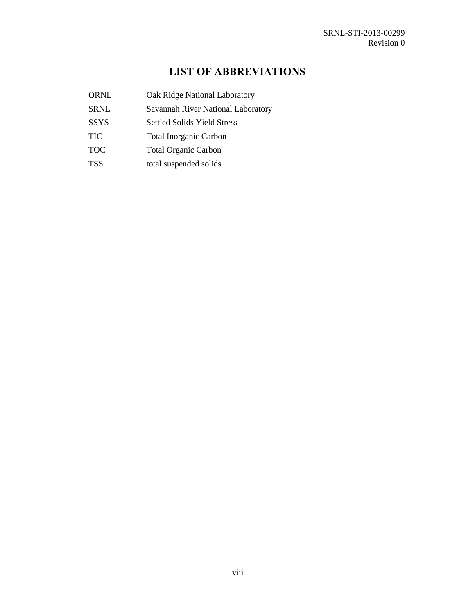# **LIST OF ABBREVIATIONS**

| <b>ORNL</b> | Oak Ridge National Laboratory      |
|-------------|------------------------------------|
| <b>SRNL</b> | Savannah River National Laboratory |
| <b>SSYS</b> | <b>Settled Solids Yield Stress</b> |
| <b>TIC</b>  | <b>Total Inorganic Carbon</b>      |
| <b>TOC</b>  | <b>Total Organic Carbon</b>        |
| <b>TSS</b>  | total suspended solids             |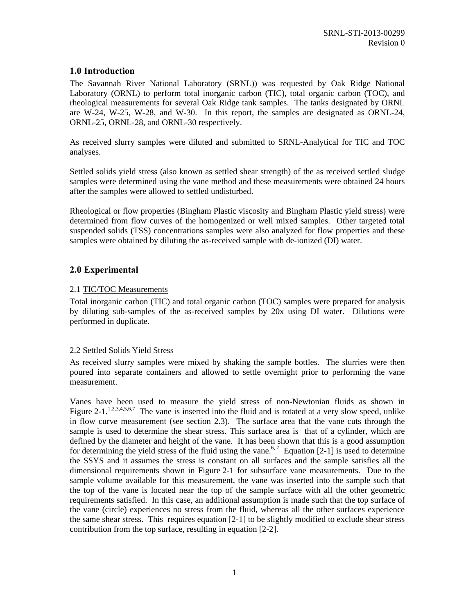### **1.0 Introduction**

The Savannah River National Laboratory (SRNL)) was requested by Oak Ridge National Laboratory (ORNL) to perform total inorganic carbon (TIC), total organic carbon (TOC), and rheological measurements for several Oak Ridge tank samples. The tanks designated by ORNL are W-24, W-25, W-28, and W-30. In this report, the samples are designated as ORNL-24, ORNL-25, ORNL-28, and ORNL-30 respectively.

As received slurry samples were diluted and submitted to SRNL-Analytical for TIC and TOC analyses.

Settled solids yield stress (also known as settled shear strength) of the as received settled sludge samples were determined using the vane method and these measurements were obtained 24 hours after the samples were allowed to settled undisturbed.

Rheological or flow properties (Bingham Plastic viscosity and Bingham Plastic yield stress) were determined from flow curves of the homogenized or well mixed samples. Other targeted total suspended solids (TSS) concentrations samples were also analyzed for flow properties and these samples were obtained by diluting the as-received sample with de-ionized (DI) water.

### **2.0 Experimental**

### 2.1 TIC/TOC Measurements

Total inorganic carbon (TIC) and total organic carbon (TOC) samples were prepared for analysis by diluting sub-samples of the as-received samples by 20x using DI water. Dilutions were performed in duplicate.

#### 2.2 Settled Solids Yield Stress

As received slurry samples were mixed by shaking the sample bottles. The slurries were then poured into separate containers and allowed to settle overnight prior to performing the vane measurement.

Vanes have been used to measure the yield stress of non-Newtonian fluids as shown in Figure 2-1.<sup>1,2,3,4,5,6,7</sup> The vane is inserted into the fluid and is rotated at a very slow speed, unlike in flow curve measurement (see section 2.3). The surface area that the vane cuts through the sample is used to determine the shear stress. This surface area is that of a cylinder, which are defined by the diameter and height of the vane. It has been shown that this is a good assumption for determining the yield stress of the fluid using the vane.<sup>6,7</sup> Equation [2-1] is used to determine the SSYS and it assumes the stress is constant on all surfaces and the sample satisfies all the dimensional requirements shown in Figure 2-1 for subsurface vane measurements. Due to the sample volume available for this measurement, the vane was inserted into the sample such that the top of the vane is located near the top of the sample surface with all the other geometric requirements satisfied. In this case, an additional assumption is made such that the top surface of the vane (circle) experiences no stress from the fluid, whereas all the other surfaces experience the same shear stress. This requires equation [2-1] to be slightly modified to exclude shear stress contribution from the top surface, resulting in equation [2-2].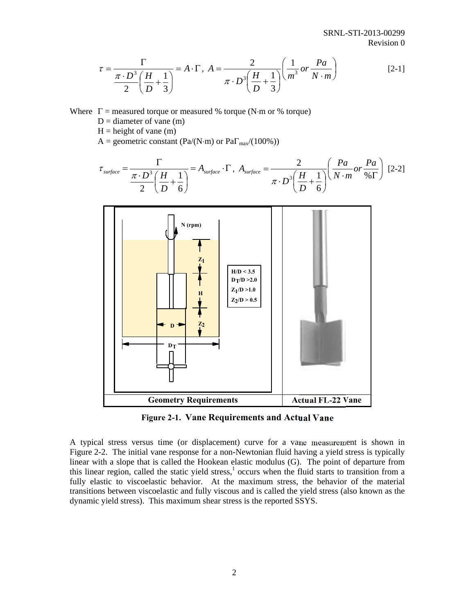$$
\tau = \frac{\Gamma}{\frac{\pi \cdot D^3}{2} \left(\frac{H}{D} + \frac{1}{3}\right)} = A \cdot \Gamma, \ A = \frac{2}{\pi \cdot D^3 \left(\frac{H}{D} + \frac{1}{3}\right)} \left(\frac{1}{m^3} \, or \, \frac{Pa}{N \cdot m}\right) \tag{2-1}
$$

Where  $\Gamma$  = measured torque or measured % torque (N·m or % torque)

- $D =$  diameter of vane  $(m)$
- $H = height of vane (m)$

A = geometric constant (Pa/(N·m) or Pa $\Gamma_{\text{max}}/(100\%)$ )

$$
\tau_{\text{surface}} = \frac{\Gamma}{\frac{\pi \cdot D^3}{2} \left(\frac{H}{D} + \frac{1}{6}\right)} = A_{\text{surface}} \cdot \Gamma, A_{\text{surface}} = \frac{2}{\pi \cdot D^3 \left(\frac{H}{D} + \frac{1}{6}\right)} \left(\frac{Pa}{N \cdot m} or \frac{Pa}{\% \Gamma}\right) [2-2]
$$



**Figure 2-1. Vane Requirements and Actual Vane** 

A typical stress versus time (or displacement) curve for a vane measurement is shown in Figure 2-2. The initial vane response for a non-Newtonian fluid having a yield stress is typically linear with a slope that is called the Hookean elastic modulus (G). The point of departure from this linear region, called the static yield stress, $<sup>1</sup>$  occurs when the fluid starts to transition from a</sup> fully elastic to viscoelastic behavior. At the maximum stress, the behavior of the material transitions between viscoelastic and fully viscous and is called the yield stress (also known as the dynamic yield stress). This maximum shear stress is the reported SSYS.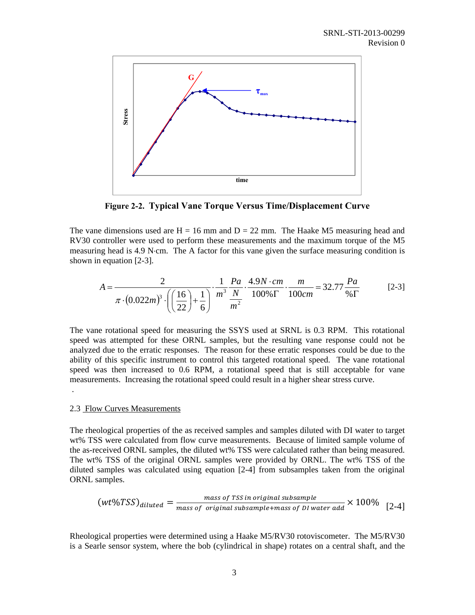

**Figure 2-2. Typical Vane Torque Versus Time/Displacement Curve** 

The vane dimensions used are  $H = 16$  mm and  $D = 22$  mm. The Haake M5 measuring head and RV30 controller were used to perform these measurements and the maximum torque of the M5 measuring head is 4.9 N·cm. The A factor for this vane given the surface measuring condition is shown in equation [2-3].

$$
A = \frac{2}{\pi \cdot (0.022m)^3 \cdot \left( \left( \frac{16}{22} \right) + \frac{1}{6} \right)} \cdot \frac{1}{m^3} \cdot \frac{Pa}{m^2} \cdot \frac{4.9N \cdot cm}{100\% \Gamma} \cdot \frac{m}{100cm} = 32.77 \frac{Pa}{\% \Gamma}
$$
 [2-3]

The vane rotational speed for measuring the SSYS used at SRNL is 0.3 RPM. This rotational speed was attempted for these ORNL samples, but the resulting vane response could not be analyzed due to the erratic responses. The reason for these erratic responses could be due to the ability of this specific instrument to control this targeted rotational speed. The vane rotational speed was then increased to 0.6 RPM, a rotational speed that is still acceptable for vane measurements. Increasing the rotational speed could result in a higher shear stress curve.

#### 2.3 Flow Curves Measurements

.

The rheological properties of the as received samples and samples diluted with DI water to target wt% TSS were calculated from flow curve measurements. Because of limited sample volume of the as-received ORNL samples, the diluted wt% TSS were calculated rather than being measured. The wt% TSS of the original ORNL samples were provided by ORNL. The wt% TSS of the diluted samples was calculated using equation [2-4] from subsamples taken from the original ORNL samples.

$$
(wt\%TSS)_{diluted} = \frac{mass\ of\ TSS\ in\ original\ subsample}{mass\ of\ original\ subsample+mass\ of\ D1\ water\ add} \times 100\%
$$
 [2-4]

Rheological properties were determined using a Haake M5/RV30 rotoviscometer. The M5/RV30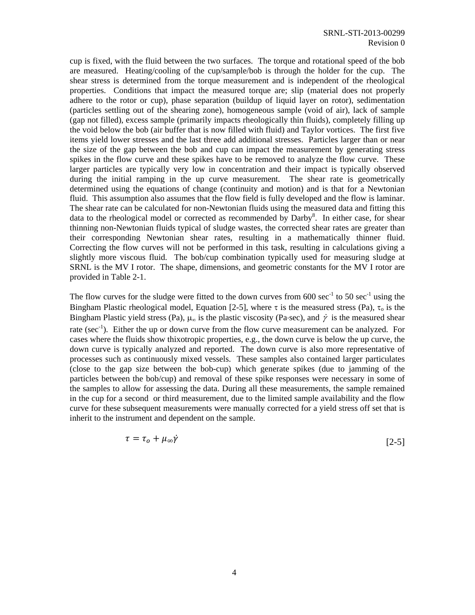cup is fixed, with the fluid between the two surfaces. The torque and rotational speed of the bob are measured. Heating/cooling of the cup/sample/bob is through the holder for the cup. The shear stress is determined from the torque measurement and is independent of the rheological properties. Conditions that impact the measured torque are; slip (material does not properly adhere to the rotor or cup), phase separation (buildup of liquid layer on rotor), sedimentation (particles settling out of the shearing zone), homogeneous sample (void of air), lack of sample (gap not filled), excess sample (primarily impacts rheologically thin fluids), completely filling up the void below the bob (air buffer that is now filled with fluid) and Taylor vortices. The first five items yield lower stresses and the last three add additional stresses. Particles larger than or near the size of the gap between the bob and cup can impact the measurement by generating stress spikes in the flow curve and these spikes have to be removed to analyze the flow curve. These larger particles are typically very low in concentration and their impact is typically observed during the initial ramping in the up curve measurement. The shear rate is geometrically determined using the equations of change (continuity and motion) and is that for a Newtonian fluid. This assumption also assumes that the flow field is fully developed and the flow is laminar. The shear rate can be calculated for non-Newtonian fluids using the measured data and fitting this data to the rheological model or corrected as recommended by Darby<sup>8</sup>. In either case, for shear thinning non-Newtonian fluids typical of sludge wastes, the corrected shear rates are greater than their corresponding Newtonian shear rates, resulting in a mathematically thinner fluid. Correcting the flow curves will not be performed in this task, resulting in calculations giving a slightly more viscous fluid. The bob/cup combination typically used for measuring sludge at SRNL is the MV I rotor. The shape, dimensions, and geometric constants for the MV I rotor are provided in Table 2-1.

The flow curves for the sludge were fitted to the down curves from  $600 \text{ sec}^{-1}$  to  $50 \text{ sec}^{-1}$  using the Bingham Plastic rheological model, Equation [2-5], where  $\tau$  is the measured stress (Pa),  $\tau_0$  is the Bingham Plastic yield stress (Pa),  $\mu_{\gamma}$  is the plastic viscosity (Pa·sec), and  $\dot{\gamma}$  is the measured shear rate ( $sec^{-1}$ ). Either the up or down curve from the flow curve measurement can be analyzed. For cases where the fluids show thixotropic properties, e.g., the down curve is below the up curve, the down curve is typically analyzed and reported. The down curve is also more representative of processes such as continuously mixed vessels. These samples also contained larger particulates (close to the gap size between the bob-cup) which generate spikes (due to jamming of the particles between the bob/cup) and removal of these spike responses were necessary in some of the samples to allow for assessing the data. During all these measurements, the sample remained in the cup for a second or third measurement, due to the limited sample availability and the flow curve for these subsequent measurements were manually corrected for a yield stress off set that is inherit to the instrument and dependent on the sample.

$$
\tau = \tau_o + \mu_\infty \dot{\gamma} \tag{2-5}
$$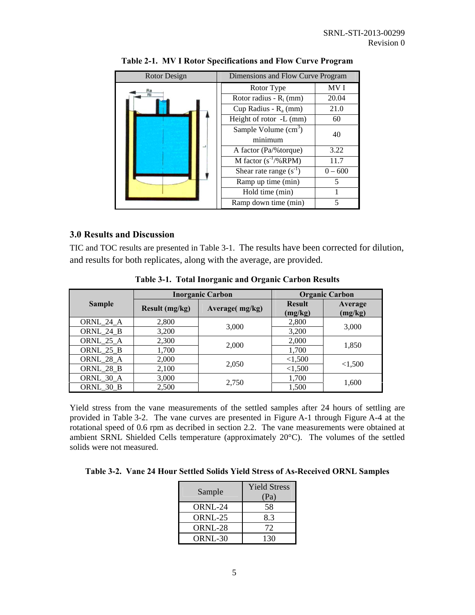| Rotor Design | Dimensions and Flow Curve Program |           |  |
|--------------|-----------------------------------|-----------|--|
| Ra<br>Ri     | Rotor Type                        | MV I      |  |
|              | Rotor radius - $R_i$ (mm)         | 20.04     |  |
|              | Cup Radius - $R_a$ (mm)           | 21.0      |  |
|              | Height of rotor -L (mm)           | 60        |  |
|              | Sample Volume $(cm3)$             | 40        |  |
|              | minimum                           |           |  |
|              | A factor (Pa/% torque)            | 3.22      |  |
|              | M factor $(s^{-1}/%RPM)$          | 11.7      |  |
|              | Shear rate range $(s^{-1})$       | $0 - 600$ |  |
|              | Ramp up time (min)                | 5         |  |
|              | Hold time (min)                   |           |  |
|              | Ramp down time (min)              | 5         |  |

**Table 2-1. MV I Rotor Specifications and Flow Curve Program** 

### **3.0 Results and Discussion**

TIC and TOC results are presented in Table 3-1. The results have been corrected for dilution, and results for both replicates, along with the average, are provided.

|               |                | <b>Inorganic Carbon</b> | <b>Organic Carbon</b>    |                           |  |
|---------------|----------------|-------------------------|--------------------------|---------------------------|--|
| <b>Sample</b> | Result (mg/kg) | Average(mg/kg)          | <b>Result</b><br>(mg/kg) | <b>Average</b><br>(mg/kg) |  |
| ORNL 24 A     | 2,800          |                         | 2,800                    |                           |  |
| ORNL_24_B     | 3,200          | 3,000                   | 3,200                    | 3,000                     |  |
| ORNL_25_A     | 2,300          | 2,000                   | 2,000                    |                           |  |
| ORNL_25_B     | 1,700          |                         | 1,700                    | 1,850                     |  |
| ORNL_28_A     | 2,000          |                         | < 1,500                  |                           |  |
| ORNL_28_B     | 2,100          | 2,050                   | < 1,500                  | < 1,500                   |  |
| ORNL_30_A     | 3,000          |                         | 1,700                    |                           |  |
| ORNL 30 B     | 2,500          | 2,750                   | 1,500                    | 1,600                     |  |

**Table 3-1. Total Inorganic and Organic Carbon Results** 

Yield stress from the vane measurements of the settled samples after 24 hours of settling are provided in Table 3-2. The vane curves are presented in Figure A-1 through Figure A-4 at the rotational speed of 0.6 rpm as decribed in section 2.2. The vane measurements were obtained at ambient SRNL Shielded Cells temperature (approximately 20°C). The volumes of the settled solids were not measured.

| Table 3-2. Vane 24 Hour Settled Solids Yield Stress of As-Received ORNL Samples |  |  |  |  |  |
|---------------------------------------------------------------------------------|--|--|--|--|--|
|---------------------------------------------------------------------------------|--|--|--|--|--|

| Sample  | <b>Yield Stress</b><br>(Pa) |
|---------|-----------------------------|
| ORNL-24 | 58                          |
| ORNL-25 | 8.3                         |
| ORNL-28 | 72                          |
| ORNL-30 | 130                         |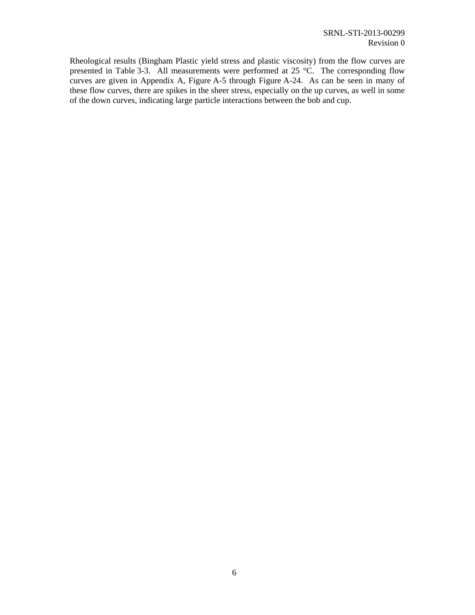Rheological results (Bingham Plastic yield stress and plastic viscosity) from the flow curves are presented in Table 3-3. All measurements were performed at 25 °C. The corresponding flow curves are given in Appendix A, Figure A-5 through Figure A-24. As can be seen in many of these flow curves, there are spikes in the sheer stress, especially on the up curves, as well in some of the down curves, indicating large particle interactions between the bob and cup.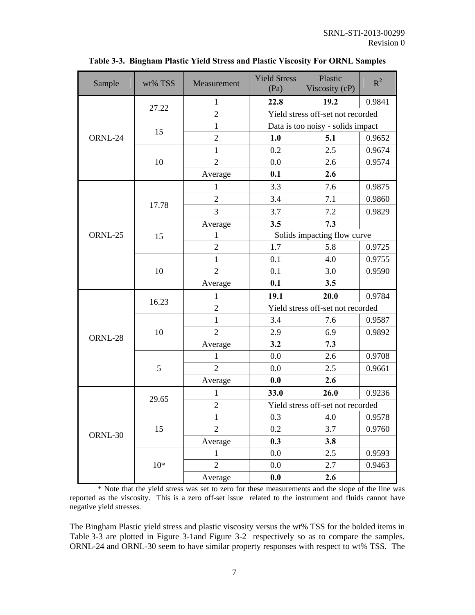| Sample  | wt% TSS | Measurement    | <b>Yield Stress</b><br>(Pa)       | Plastic<br>Viscosity (cP)         | $R^2$  |  |
|---------|---------|----------------|-----------------------------------|-----------------------------------|--------|--|
|         |         | $\mathbf{1}$   | 22.8                              | 19.2                              | 0.9841 |  |
|         | 27.22   | $\overline{2}$ |                                   | Yield stress off-set not recorded |        |  |
|         | 15      | $\mathbf{1}$   | Data is too noisy - solids impact |                                   |        |  |
| ORNL-24 |         | $\overline{c}$ | 1.0                               | 5.1                               | 0.9652 |  |
|         |         | 1              | 0.2                               | 2.5                               | 0.9674 |  |
|         | 10      | $\overline{2}$ | 0.0                               | 2.6                               | 0.9574 |  |
|         |         | Average        | 0.1                               | 2.6                               |        |  |
|         |         | $\mathbf{1}$   | 3.3                               | 7.6                               | 0.9875 |  |
|         | 17.78   | $\overline{2}$ | 3.4                               | 7.1                               | 0.9860 |  |
|         |         | 3              | 3.7                               | 7.2                               | 0.9829 |  |
|         |         | Average        | 3.5                               | 7.3                               |        |  |
| ORNL-25 | 15      | $\mathbf{1}$   |                                   | Solids impacting flow curve       |        |  |
|         |         | $\overline{2}$ | 1.7                               | 5.8                               | 0.9725 |  |
|         |         | $\mathbf{1}$   | 0.1                               | 4.0                               | 0.9755 |  |
|         | 10      | $\overline{2}$ | 0.1                               | 3.0                               | 0.9590 |  |
|         |         | Average        | 0.1                               | 3.5                               |        |  |
|         | 16.23   | $\mathbf{1}$   | 19.1                              | 20.0                              | 0.9784 |  |
|         |         | $\overline{2}$ | Yield stress off-set not recorded |                                   |        |  |
|         | 10      | $\mathbf{1}$   | 3.4                               | 7.6                               | 0.9587 |  |
| ORNL-28 |         | $\overline{2}$ | 2.9                               | 6.9                               | 0.9892 |  |
|         |         | Average        | 3.2                               | 7.3                               |        |  |
|         | 5       | $\mathbf{1}$   | 0.0                               | 2.6                               | 0.9708 |  |
|         |         | $\overline{2}$ | 0.0                               | 2.5                               | 0.9661 |  |
|         |         | Average        | 0.0                               | 2.6                               |        |  |
|         |         | $\mathbf{1}$   | 33.0                              | 26.0                              | 0.9236 |  |
|         | 29.65   | $\sqrt{2}$     | Yield stress off-set not recorded |                                   |        |  |
| ORNL-30 | 15      | $\mathbf{1}$   | 0.3                               | 4.0                               | 0.9578 |  |
|         |         | $\overline{2}$ | 0.2                               | 3.7                               | 0.9760 |  |
|         |         | Average        | 0.3                               | 3.8                               |        |  |
|         |         | $\mathbf{1}$   | 0.0                               | 2.5                               | 0.9593 |  |
|         | $10*$   | $\overline{2}$ | 0.0                               | 2.7                               | 0.9463 |  |
|         |         | Average        | 0.0                               | 2.6                               |        |  |

**Table 3-3. Bingham Plastic Yield Stress and Plastic Viscosity For ORNL Samples** 

\* Note that the yield stress was set to zero for these measurements and the slope of the line was reported as the viscosity. This is a zero off-set issue related to the instrument and fluids cannot have negative yield stresses.

The Bingham Plastic yield stress and plastic viscosity versus the wt% TSS for the bolded items in Table 3-3 are plotted in Figure 3-1and Figure 3-2 respectively so as to compare the samples. ORNL-24 and ORNL-30 seem to have similar property responses with respect to wt% TSS. The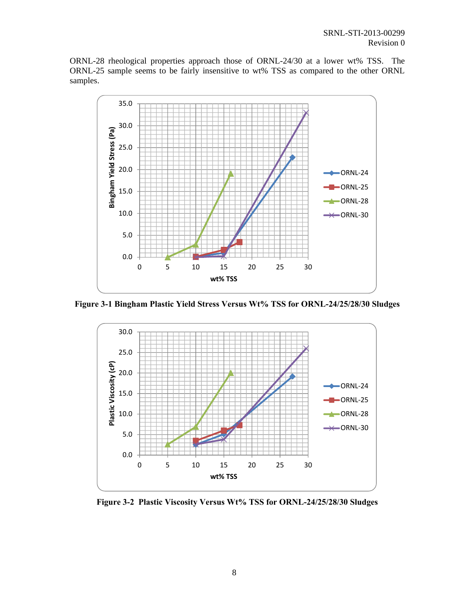ORNL-28 rheological properties approach those of ORNL-24/30 at a lower wt% TSS. The ORNL-25 sample seems to be fairly insensitive to wt% TSS as compared to the other ORNL samples.



**Figure 3-1 Bingham Plastic Yield Stress Versus Wt% TSS for ORNL-24/25/28/30 Sludges** 



**Figure 3-2 Plastic Viscosity Versus Wt% TSS for ORNL-24/25/28/30 Sludges**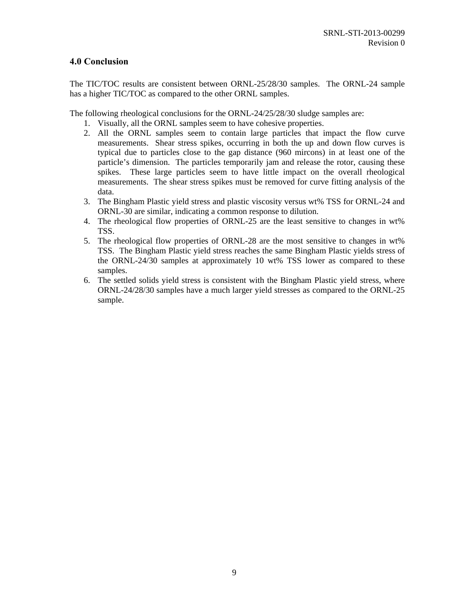### **4.0 Conclusion**

The TIC/TOC results are consistent between ORNL-25/28/30 samples. The ORNL-24 sample has a higher TIC/TOC as compared to the other ORNL samples.

The following rheological conclusions for the ORNL-24/25/28/30 sludge samples are:

- 1. Visually, all the ORNL samples seem to have cohesive properties.
- 2. All the ORNL samples seem to contain large particles that impact the flow curve measurements. Shear stress spikes, occurring in both the up and down flow curves is typical due to particles close to the gap distance (960 mircons) in at least one of the particle's dimension. The particles temporarily jam and release the rotor, causing these spikes. These large particles seem to have little impact on the overall rheological measurements. The shear stress spikes must be removed for curve fitting analysis of the data.
- 3. The Bingham Plastic yield stress and plastic viscosity versus wt% TSS for ORNL-24 and ORNL-30 are similar, indicating a common response to dilution.
- 4. The rheological flow properties of ORNL-25 are the least sensitive to changes in wt% TSS.
- 5. The rheological flow properties of ORNL-28 are the most sensitive to changes in wt% TSS. The Bingham Plastic yield stress reaches the same Bingham Plastic yields stress of the ORNL-24/30 samples at approximately 10 wt% TSS lower as compared to these samples.
- 6. The settled solids yield stress is consistent with the Bingham Plastic yield stress, where ORNL-24/28/30 samples have a much larger yield stresses as compared to the ORNL-25 sample.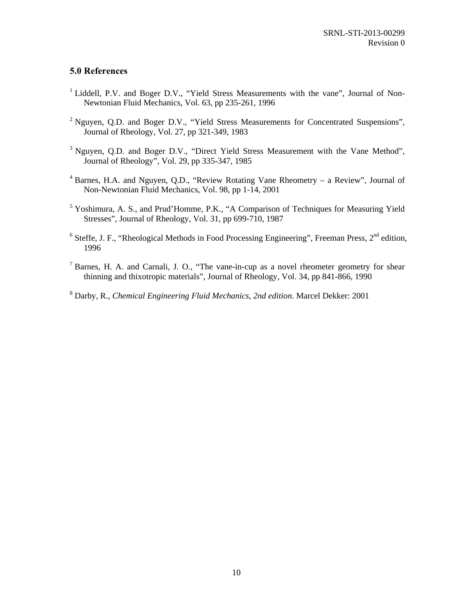### **5.0 References**

- <sup>1</sup> Liddell, P.V. and Boger D.V., "Yield Stress Measurements with the vane", Journal of Non-Newtonian Fluid Mechanics, Vol. 63, pp 235-261, 1996
- <sup>2</sup> Nguyen, Q.D. and Boger D.V., "Yield Stress Measurements for Concentrated Suspensions", Journal of Rheology, Vol. 27, pp 321-349, 1983
- $3$  Nguyen, Q.D. and Boger D.V., "Direct Yield Stress Measurement with the Vane Method", Journal of Rheology", Vol. 29, pp 335-347, 1985
- <sup>4</sup> Barnes, H.A. and Nguyen, Q.D., "Review Rotating Vane Rheometry a Review", Journal of Non-Newtonian Fluid Mechanics, Vol. 98, pp 1-14, 2001
- <sup>5</sup> Yoshimura, A. S., and Prud'Homme, P.K., "A Comparison of Techniques for Measuring Yield Stresses", Journal of Rheology, Vol. 31, pp 699-710, 1987
- <sup>6</sup> Steffe, J. F., "Rheological Methods in Food Processing Engineering", Freeman Press,  $2<sup>nd</sup>$  edition, 1996
- <sup>7</sup> Barnes, H. A. and Carnali, J. O., "The vane-in-cup as a novel rheometer geometry for shear thinning and thixotropic materials", Journal of Rheology, Vol. 34, pp 841-866, 1990
- 8 Darby, R., *Chemical Engineering Fluid Mechanics, 2nd edition*. Marcel Dekker: 2001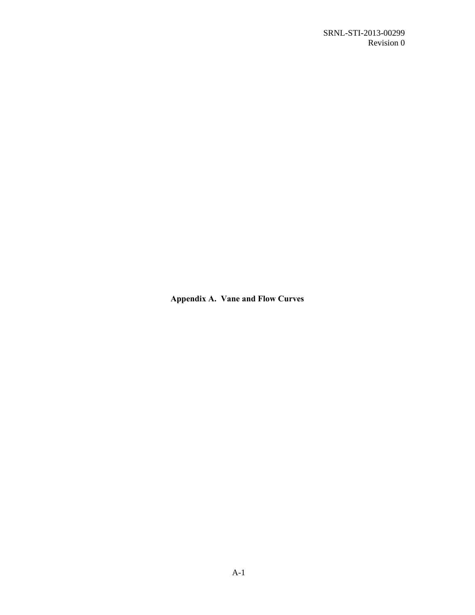**Appendix A. Vane and Flow Curves**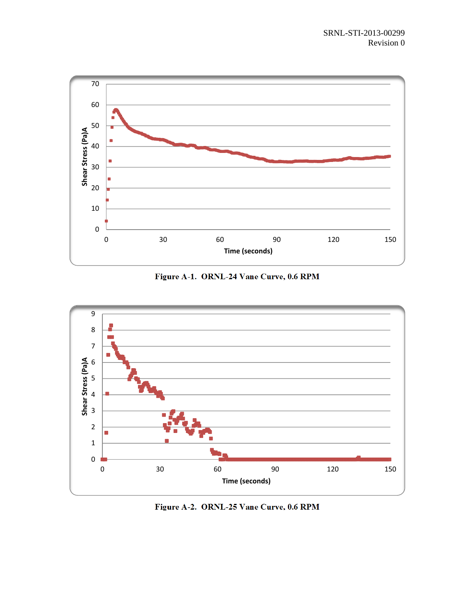

**Figure A-1. ORNL-24 Vane Curve, 0.6 RPM** 



**Figure A-2. ORNL-25 Vane Curve, 0.6 RPM**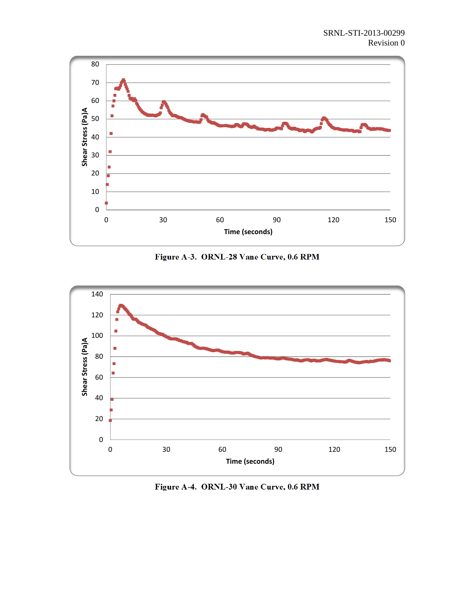

**Figure A-3. ORNL-28 Vane Curve, 0.6 RPM** 



**Figure A-4. ORNL-30 Vane Curve, 0.6 RPM**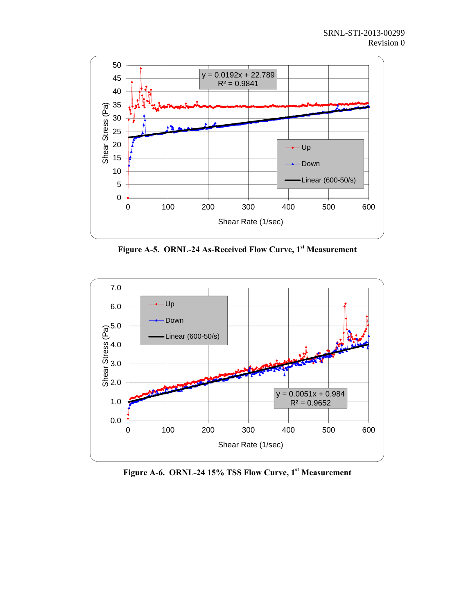

**Figure A-5. ORNL-24 As-Received Flow Curve, 1st Measurement** 



**Figure A-6. ORNL-24 15% TSS Flow Curve, 1st Measurement**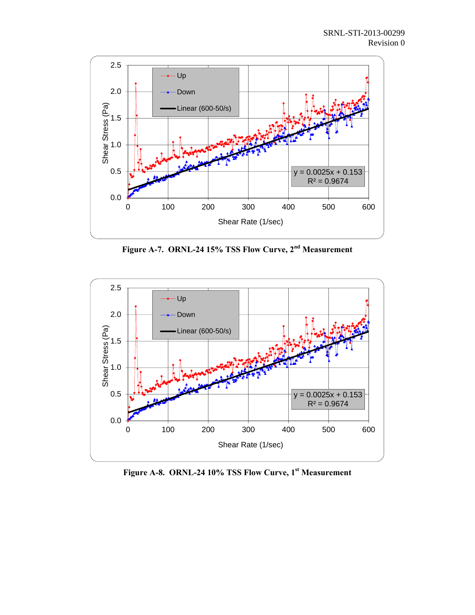

**Figure A-7. ORNL-24 15% TSS Flow Curve, 2nd Measurement** 



Figure A-8. ORNL-24 10% TSS Flow Curve, 1<sup>st</sup> Measurement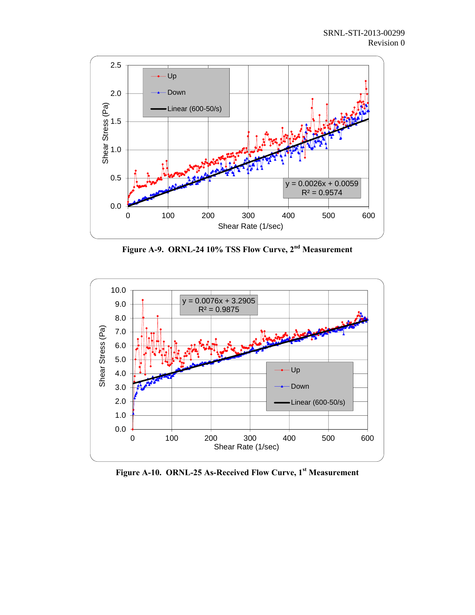

**Figure A-9. ORNL-24 10% TSS Flow Curve, 2nd Measurement** 



**Figure A-10. ORNL-25 As-Received Flow Curve, 1st Measurement**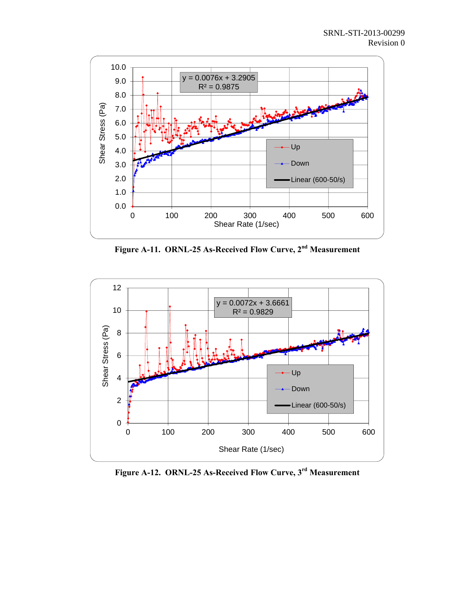

**Figure A-11. ORNL-25 As-Received Flow Curve, 2nd Measurement** 



**Figure A-12. ORNL-25 As-Received Flow Curve, 3rd Measurement**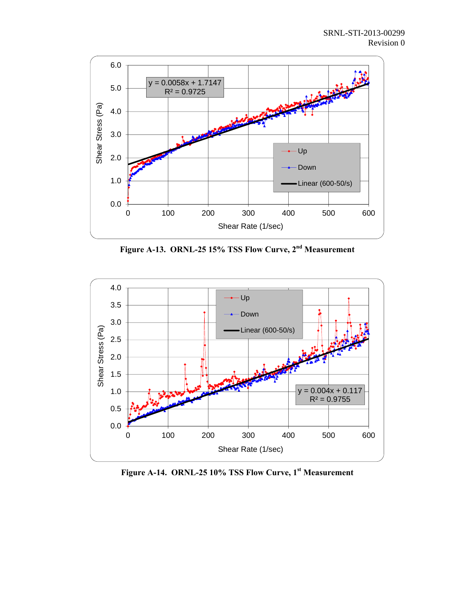

**Figure A-13. ORNL-25 15% TSS Flow Curve, 2nd Measurement** 



**Figure A-14. ORNL-25 10% TSS Flow Curve, 1st Measurement**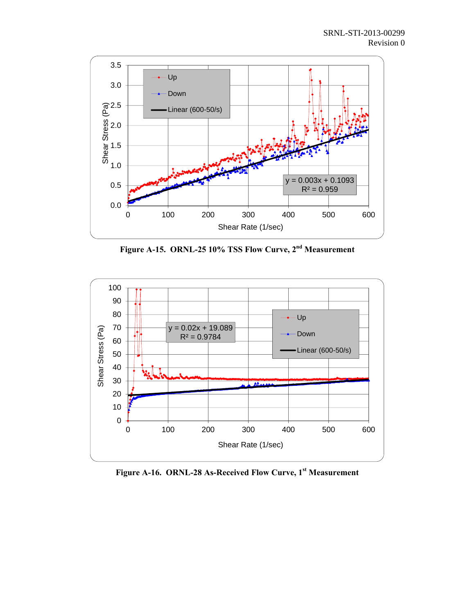

**Figure A-15. ORNL-25 10% TSS Flow Curve, 2nd Measurement** 



**Figure A-16. ORNL-28 As-Received Flow Curve, 1st Measurement**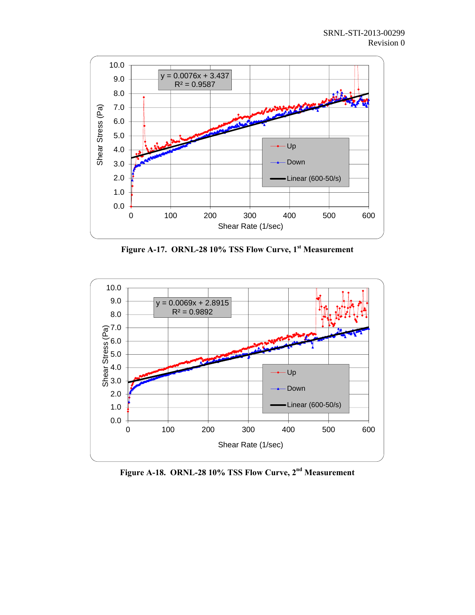

**Figure A-17. ORNL-28 10% TSS Flow Curve, 1st Measurement** 



**Figure A-18. ORNL-28 10% TSS Flow Curve, 2nd Measurement**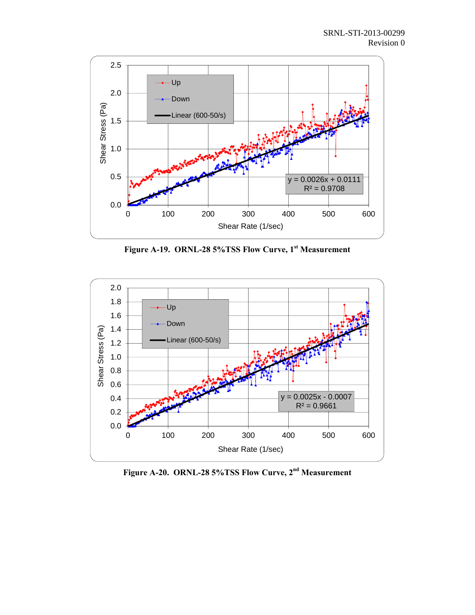

**Figure A-19. ORNL-28 5%TSS Flow Curve, 1st Measurement** 



**Figure A-20. ORNL-28 5%TSS Flow Curve, 2nd Measurement**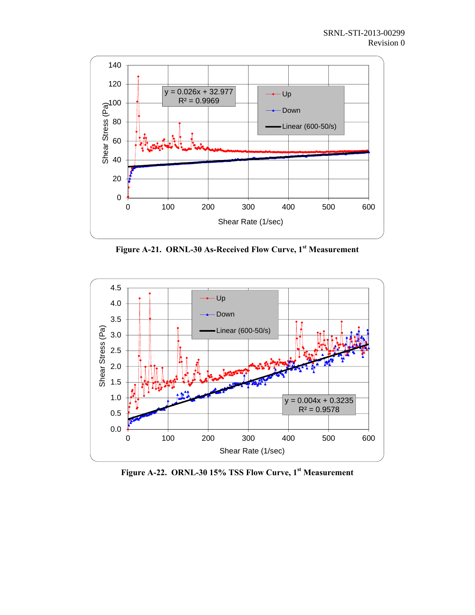

**Figure A-21. ORNL-30 As-Received Flow Curve, 1st Measurement** 



**Figure A-22. ORNL-30 15% TSS Flow Curve, 1st Measurement**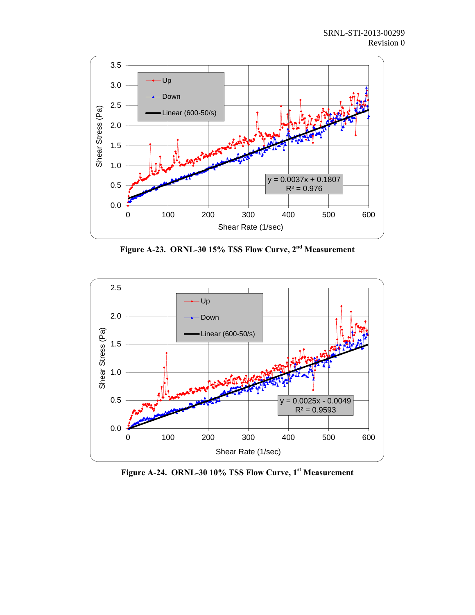

**Figure A-23. ORNL-30 15% TSS Flow Curve, 2nd Measurement** 



**Figure A-24. ORNL-30 10% TSS Flow Curve, 1st Measurement**